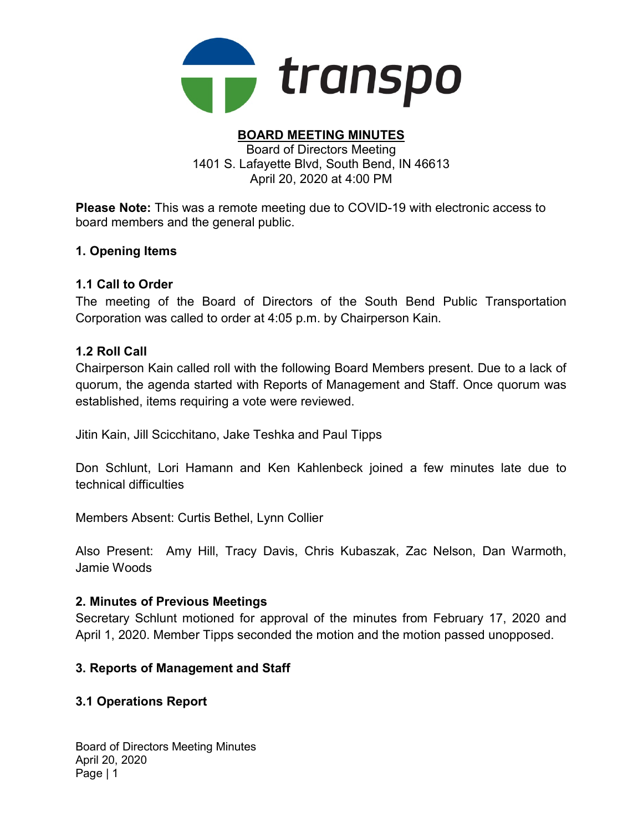

#### BOARD MEETING MINUTES Board of Directors Meeting 1401 S. Lafayette Blvd, South Bend, IN 46613 April 20, 2020 at 4:00 PM

Please Note: This was a remote meeting due to COVID-19 with electronic access to board members and the general public.

### 1. Opening Items

### 1.1 Call to Order

The meeting of the Board of Directors of the South Bend Public Transportation Corporation was called to order at 4:05 p.m. by Chairperson Kain.

### 1.2 Roll Call

Chairperson Kain called roll with the following Board Members present. Due to a lack of quorum, the agenda started with Reports of Management and Staff. Once quorum was established, items requiring a vote were reviewed.

Jitin Kain, Jill Scicchitano, Jake Teshka and Paul Tipps

Don Schlunt, Lori Hamann and Ken Kahlenbeck joined a few minutes late due to technical difficulties

Members Absent: Curtis Bethel, Lynn Collier

Also Present: Amy Hill, Tracy Davis, Chris Kubaszak, Zac Nelson, Dan Warmoth, Jamie Woods

### 2. Minutes of Previous Meetings

Secretary Schlunt motioned for approval of the minutes from February 17, 2020 and April 1, 2020. Member Tipps seconded the motion and the motion passed unopposed.

### 3. Reports of Management and Staff

## 3.1 Operations Report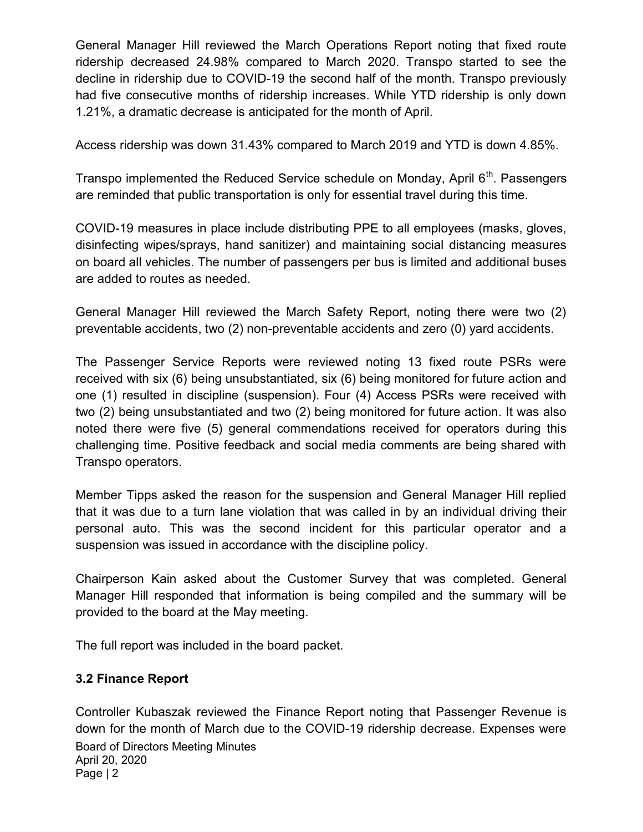General Manager Hill reviewed the March Operations Report noting that fixed route ridership decreased 24.98% compared to March 2020. Transpo started to see the decline in ridership due to COVID-19 the second half of the month. Transpo previously had five consecutive months of ridership increases. While YTD ridership is only down 1.21%, a dramatic decrease is anticipated for the month of April.

Access ridership was down 31.43% compared to March 2019 and YTD is down 4.85%.

Transpo implemented the Reduced Service schedule on Monday, April  $6<sup>th</sup>$ . Passengers are reminded that public transportation is only for essential travel during this time.

COVID-19 measures in place include distributing PPE to all employees (masks, gloves, disinfecting wipes/sprays, hand sanitizer) and maintaining social distancing measures on board all vehicles. The number of passengers per bus is limited and additional buses are added to routes as needed.

General Manager Hill reviewed the March Safety Report, noting there were two (2) preventable accidents, two (2) non-preventable accidents and zero (0) yard accidents.

The Passenger Service Reports were reviewed noting 13 fixed route PSRs were received with six (6) being unsubstantiated, six (6) being monitored for future action and one (1) resulted in discipline (suspension). Four (4) Access PSRs were received with two (2) being unsubstantiated and two (2) being monitored for future action. It was also noted there were five (5) general commendations received for operators during this challenging time. Positive feedback and social media comments are being shared with Transpo operators.

Member Tipps asked the reason for the suspension and General Manager Hill replied that it was due to a turn lane violation that was called in by an individual driving their personal auto. This was the second incident for this particular operator and a suspension was issued in accordance with the discipline policy.

Chairperson Kain asked about the Customer Survey that was completed. General Manager Hill responded that information is being compiled and the summary will be provided to the board at the May meeting.

The full report was included in the board packet.

# 3.2 Finance Report

Board of Directors Meeting Minutes April 20, 2020 Controller Kubaszak reviewed the Finance Report noting that Passenger Revenue is down for the month of March due to the COVID-19 ridership decrease. Expenses were

Page | 2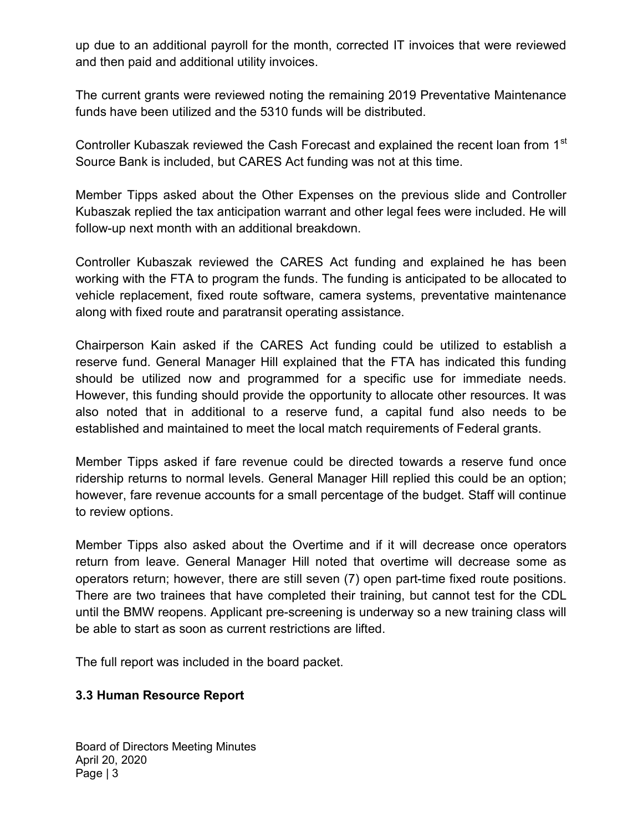up due to an additional payroll for the month, corrected IT invoices that were reviewed and then paid and additional utility invoices.

The current grants were reviewed noting the remaining 2019 Preventative Maintenance funds have been utilized and the 5310 funds will be distributed.

Controller Kubaszak reviewed the Cash Forecast and explained the recent loan from 1<sup>st</sup> Source Bank is included, but CARES Act funding was not at this time.

Member Tipps asked about the Other Expenses on the previous slide and Controller Kubaszak replied the tax anticipation warrant and other legal fees were included. He will follow-up next month with an additional breakdown.

Controller Kubaszak reviewed the CARES Act funding and explained he has been working with the FTA to program the funds. The funding is anticipated to be allocated to vehicle replacement, fixed route software, camera systems, preventative maintenance along with fixed route and paratransit operating assistance.

Chairperson Kain asked if the CARES Act funding could be utilized to establish a reserve fund. General Manager Hill explained that the FTA has indicated this funding should be utilized now and programmed for a specific use for immediate needs. However, this funding should provide the opportunity to allocate other resources. It was also noted that in additional to a reserve fund, a capital fund also needs to be established and maintained to meet the local match requirements of Federal grants.

Member Tipps asked if fare revenue could be directed towards a reserve fund once ridership returns to normal levels. General Manager Hill replied this could be an option; however, fare revenue accounts for a small percentage of the budget. Staff will continue to review options.

Member Tipps also asked about the Overtime and if it will decrease once operators return from leave. General Manager Hill noted that overtime will decrease some as operators return; however, there are still seven (7) open part-time fixed route positions. There are two trainees that have completed their training, but cannot test for the CDL until the BMW reopens. Applicant pre-screening is underway so a new training class will be able to start as soon as current restrictions are lifted.

The full report was included in the board packet.

## 3.3 Human Resource Report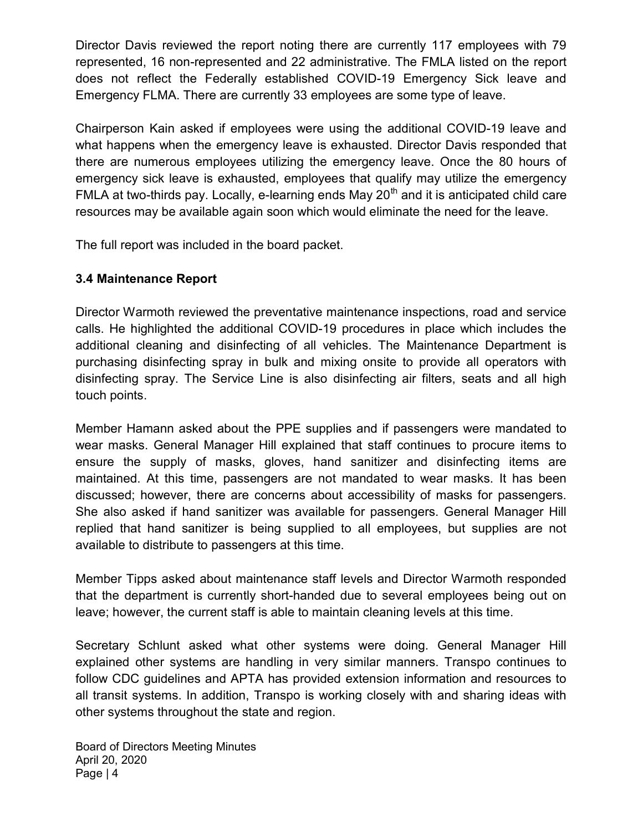Director Davis reviewed the report noting there are currently 117 employees with 79 represented, 16 non-represented and 22 administrative. The FMLA listed on the report does not reflect the Federally established COVID-19 Emergency Sick leave and Emergency FLMA. There are currently 33 employees are some type of leave.

Chairperson Kain asked if employees were using the additional COVID-19 leave and what happens when the emergency leave is exhausted. Director Davis responded that there are numerous employees utilizing the emergency leave. Once the 80 hours of emergency sick leave is exhausted, employees that qualify may utilize the emergency FMLA at two-thirds pay. Locally, e-learning ends May  $20<sup>th</sup>$  and it is anticipated child care resources may be available again soon which would eliminate the need for the leave.

The full report was included in the board packet.

# 3.4 Maintenance Report

Director Warmoth reviewed the preventative maintenance inspections, road and service calls. He highlighted the additional COVID-19 procedures in place which includes the additional cleaning and disinfecting of all vehicles. The Maintenance Department is purchasing disinfecting spray in bulk and mixing onsite to provide all operators with disinfecting spray. The Service Line is also disinfecting air filters, seats and all high touch points.

Member Hamann asked about the PPE supplies and if passengers were mandated to wear masks. General Manager Hill explained that staff continues to procure items to ensure the supply of masks, gloves, hand sanitizer and disinfecting items are maintained. At this time, passengers are not mandated to wear masks. It has been discussed; however, there are concerns about accessibility of masks for passengers. She also asked if hand sanitizer was available for passengers. General Manager Hill replied that hand sanitizer is being supplied to all employees, but supplies are not available to distribute to passengers at this time.

Member Tipps asked about maintenance staff levels and Director Warmoth responded that the department is currently short-handed due to several employees being out on leave; however, the current staff is able to maintain cleaning levels at this time.

Secretary Schlunt asked what other systems were doing. General Manager Hill explained other systems are handling in very similar manners. Transpo continues to follow CDC guidelines and APTA has provided extension information and resources to all transit systems. In addition, Transpo is working closely with and sharing ideas with other systems throughout the state and region.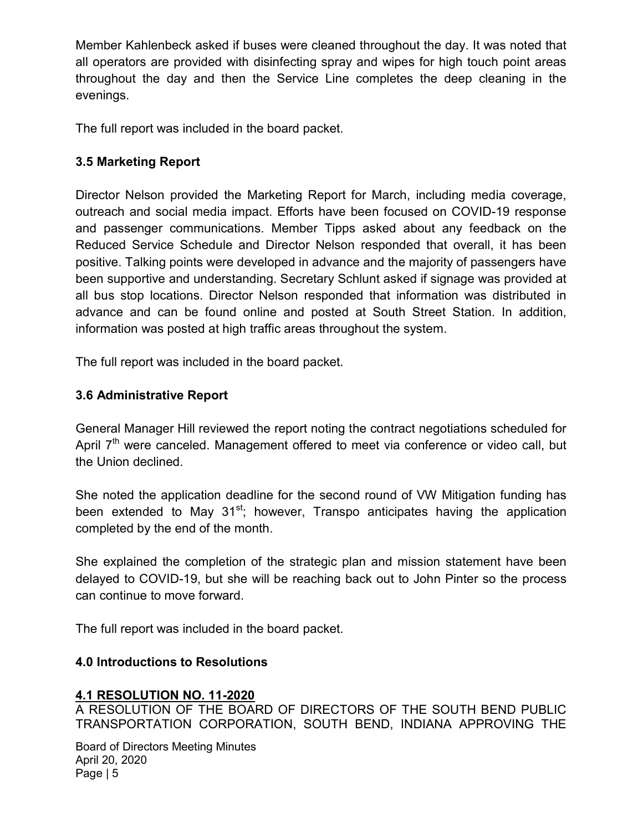Member Kahlenbeck asked if buses were cleaned throughout the day. It was noted that all operators are provided with disinfecting spray and wipes for high touch point areas throughout the day and then the Service Line completes the deep cleaning in the evenings.

The full report was included in the board packet.

# 3.5 Marketing Report

Director Nelson provided the Marketing Report for March, including media coverage, outreach and social media impact. Efforts have been focused on COVID-19 response and passenger communications. Member Tipps asked about any feedback on the Reduced Service Schedule and Director Nelson responded that overall, it has been positive. Talking points were developed in advance and the majority of passengers have been supportive and understanding. Secretary Schlunt asked if signage was provided at all bus stop locations. Director Nelson responded that information was distributed in advance and can be found online and posted at South Street Station. In addition, information was posted at high traffic areas throughout the system.

The full report was included in the board packet.

# 3.6 Administrative Report

General Manager Hill reviewed the report noting the contract negotiations scheduled for April  $7<sup>th</sup>$  were canceled. Management offered to meet via conference or video call, but the Union declined.

She noted the application deadline for the second round of VW Mitigation funding has been extended to May  $31^{st}$ ; however, Transpo anticipates having the application completed by the end of the month.

She explained the completion of the strategic plan and mission statement have been delayed to COVID-19, but she will be reaching back out to John Pinter so the process can continue to move forward.

The full report was included in the board packet.

# 4.0 Introductions to Resolutions

## 4.1 RESOLUTION NO. 11-2020

A RESOLUTION OF THE BOARD OF DIRECTORS OF THE SOUTH BEND PUBLIC TRANSPORTATION CORPORATION, SOUTH BEND, INDIANA APPROVING THE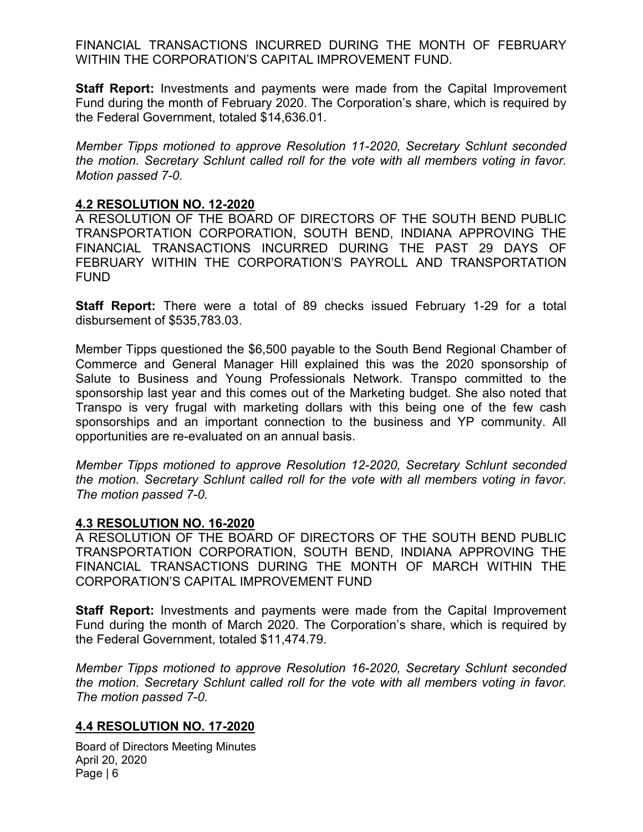FINANCIAL TRANSACTIONS INCURRED DURING THE MONTH OF FEBRUARY WITHIN THE CORPORATION'S CAPITAL IMPROVEMENT FUND.

**Staff Report:** Investments and payments were made from the Capital Improvement Fund during the month of February 2020. The Corporation's share, which is required by the Federal Government, totaled \$14,636.01.

Member Tipps motioned to approve Resolution 11-2020, Secretary Schlunt seconded the motion. Secretary Schlunt called roll for the vote with all members voting in favor. Motion passed 7-0.

### 4.2 RESOLUTION NO. 12-2020

A RESOLUTION OF THE BOARD OF DIRECTORS OF THE SOUTH BEND PUBLIC TRANSPORTATION CORPORATION, SOUTH BEND, INDIANA APPROVING THE FINANCIAL TRANSACTIONS INCURRED DURING THE PAST 29 DAYS OF FEBRUARY WITHIN THE CORPORATION'S PAYROLL AND TRANSPORTATION FUND

Staff Report: There were a total of 89 checks issued February 1-29 for a total disbursement of \$535,783.03.

Member Tipps questioned the \$6,500 payable to the South Bend Regional Chamber of Commerce and General Manager Hill explained this was the 2020 sponsorship of Salute to Business and Young Professionals Network. Transpo committed to the sponsorship last year and this comes out of the Marketing budget. She also noted that Transpo is very frugal with marketing dollars with this being one of the few cash sponsorships and an important connection to the business and YP community. All opportunities are re-evaluated on an annual basis.

Member Tipps motioned to approve Resolution 12-2020, Secretary Schlunt seconded the motion. Secretary Schlunt called roll for the vote with all members voting in favor. The motion passed 7-0.

### 4.3 RESOLUTION NO. 16-2020

A RESOLUTION OF THE BOARD OF DIRECTORS OF THE SOUTH BEND PUBLIC TRANSPORTATION CORPORATION, SOUTH BEND, INDIANA APPROVING THE FINANCIAL TRANSACTIONS DURING THE MONTH OF MARCH WITHIN THE CORPORATION'S CAPITAL IMPROVEMENT FUND

**Staff Report:** Investments and payments were made from the Capital Improvement Fund during the month of March 2020. The Corporation's share, which is required by the Federal Government, totaled \$11,474.79.

Member Tipps motioned to approve Resolution 16-2020, Secretary Schlunt seconded the motion. Secretary Schlunt called roll for the vote with all members voting in favor. The motion passed 7-0.

### 4.4 RESOLUTION NO. 17-2020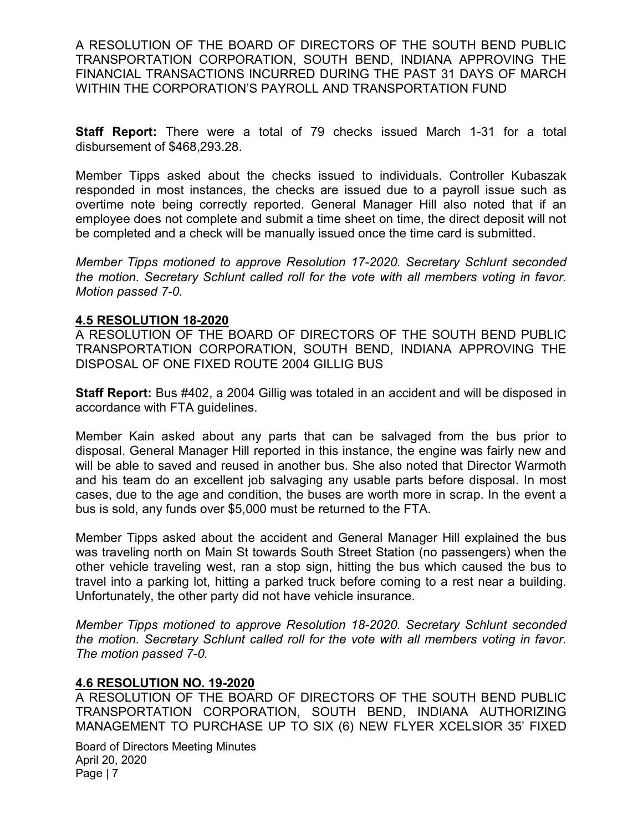A RESOLUTION OF THE BOARD OF DIRECTORS OF THE SOUTH BEND PUBLIC TRANSPORTATION CORPORATION, SOUTH BEND, INDIANA APPROVING THE FINANCIAL TRANSACTIONS INCURRED DURING THE PAST 31 DAYS OF MARCH WITHIN THE CORPORATION'S PAYROLL AND TRANSPORTATION FUND

**Staff Report:** There were a total of 79 checks issued March 1-31 for a total disbursement of \$468,293.28.

Member Tipps asked about the checks issued to individuals. Controller Kubaszak responded in most instances, the checks are issued due to a payroll issue such as overtime note being correctly reported. General Manager Hill also noted that if an employee does not complete and submit a time sheet on time, the direct deposit will not be completed and a check will be manually issued once the time card is submitted.

Member Tipps motioned to approve Resolution 17-2020. Secretary Schlunt seconded the motion. Secretary Schlunt called roll for the vote with all members voting in favor. Motion passed 7-0.

#### 4.5 RESOLUTION 18-2020

A RESOLUTION OF THE BOARD OF DIRECTORS OF THE SOUTH BEND PUBLIC TRANSPORTATION CORPORATION, SOUTH BEND, INDIANA APPROVING THE DISPOSAL OF ONE FIXED ROUTE 2004 GILLIG BUS

Staff Report: Bus #402, a 2004 Gillig was totaled in an accident and will be disposed in accordance with FTA guidelines.

Member Kain asked about any parts that can be salvaged from the bus prior to disposal. General Manager Hill reported in this instance, the engine was fairly new and will be able to saved and reused in another bus. She also noted that Director Warmoth and his team do an excellent job salvaging any usable parts before disposal. In most cases, due to the age and condition, the buses are worth more in scrap. In the event a bus is sold, any funds over \$5,000 must be returned to the FTA.

Member Tipps asked about the accident and General Manager Hill explained the bus was traveling north on Main St towards South Street Station (no passengers) when the other vehicle traveling west, ran a stop sign, hitting the bus which caused the bus to travel into a parking lot, hitting a parked truck before coming to a rest near a building. Unfortunately, the other party did not have vehicle insurance.

Member Tipps motioned to approve Resolution 18-2020. Secretary Schlunt seconded the motion. Secretary Schlunt called roll for the vote with all members voting in favor. The motion passed 7-0.

### 4.6 RESOLUTION NO. 19-2020

A RESOLUTION OF THE BOARD OF DIRECTORS OF THE SOUTH BEND PUBLIC TRANSPORTATION CORPORATION, SOUTH BEND, INDIANA AUTHORIZING MANAGEMENT TO PURCHASE UP TO SIX (6) NEW FLYER XCELSIOR 35' FIXED